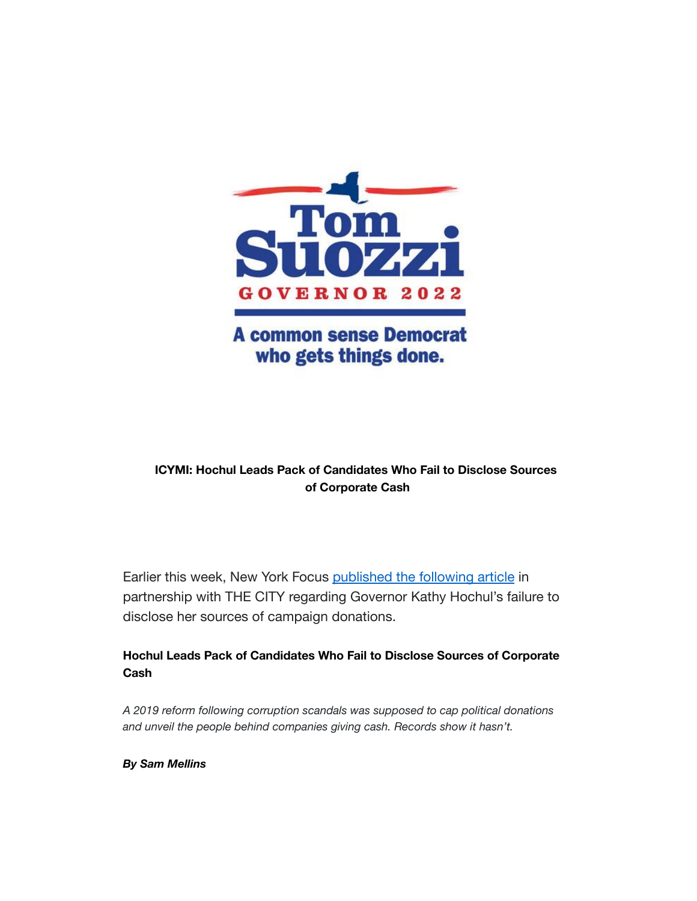

# **A common sense Democrat** who gets things done.

## **ICYMI: Hochul Leads Pack of Candidates Who Fail to Disclose Sources of Corporate Cash**

Earlier this week, New York Focus [published the following](https://www.nysfocus.com/2022/02/09/hochul-corporate-donations-board-of-elections-enforcement/) article in partnership with THE CITY regarding Governor Kathy Hochul's failure to disclose her sources of campaign donations.

## **Hochul Leads Pack of Candidates Who Fail to Disclose Sources of Corporate Cash**

*A 2019 reform following corruption scandals was supposed to cap political donations and unveil the people behind companies giving cash. Records show it hasn't.*

*By Sam Mellins*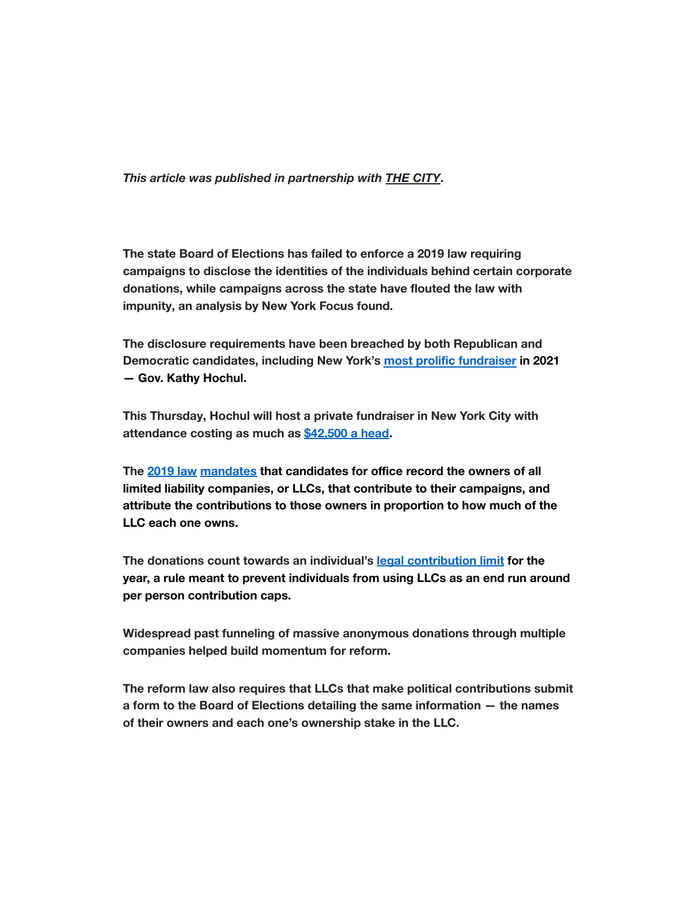*This article was published in partnership with THE [CITY](https://www.thecity.nyc/)***.**

**The state Board of Elections has failed to enforce a 2019 law requiring campaigns to disclose the identities of the individuals behind certain corporate donations, while campaigns across the state have flouted the law with impunity, an analysis by New York Focus found.**

**The disclosure requirements have been breached by both Republican and Democratic candidates, including New York's [most prolific](https://www.nytimes.com/2022/01/18/nyregion/kathy-hochul-fundraising.html) fundraiser in 2021 — Gov. Kathy Hochul.**

**This Thursday, Hochul will host a private fundraiser in New York City with attendance costing as much as [\\$42,500 a head.](https://www.timesunion.com/capitol/article/Hochul-fundraiser-A-small-private-and-pricey-16838287.php)**

**The [2019 law](https://www.nysenate.gov/legislation/bills/2019/a776) [mandates](https://www.elections.ny.gov/CampaignFinanceFAQ.html) that candidates for office record the owners of all limited liability companies, or LLCs, that contribute to their campaigns, and attribute the contributions to those owners in proportion to how much of the LLC each one owns.**

**The donations count towards an individual's legal [contribution limit](https://www.elections.ny.gov/CFContributionLimits.html) for the year, a rule meant to prevent individuals from using LLCs as an end run around per person contribution caps.**

**Widespread past funneling of massive anonymous donations through multiple companies helped build momentum for reform.**

**The reform law also requires that LLCs that make political contributions submit a form to the Board of Elections detailing the same information — the names of their owners and each one's ownership stake in the LLC.**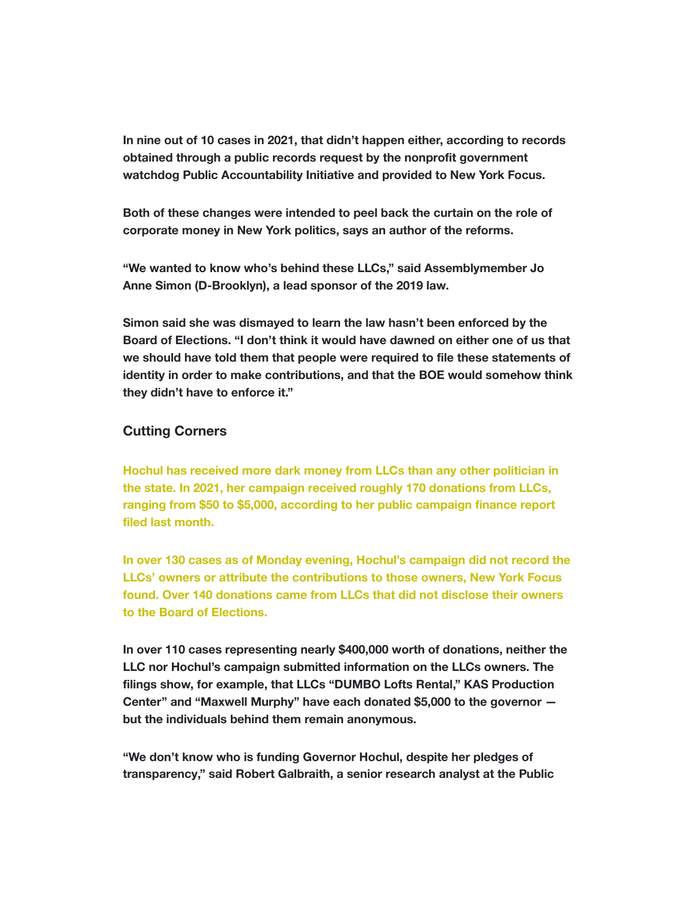**In nine out of 10 cases in 2021, that didn't happen either, according to records obtained through a public records request by the nonprofit government watchdog Public Accountability Initiative and provided to New York Focus.**

**Both of these changes were intended to peel back the curtain on the role of corporate money in New York politics, says an author of the reforms.**

**"We wanted to know who's behind these LLCs," said Assemblymember Jo Anne Simon (D-Brooklyn), a lead sponsor of the 2019 law.**

**Simon said she was dismayed to learn the law hasn't been enforced by the Board of Elections. "I don't think it would have dawned on either one of us that we should have told them that people were required to file these statements of identity in order to make contributions, and that the BOE would somehow think they didn't have to enforce it."**

### **Cutting Corners**

**Hochul has received more dark money from LLCs than any other politician in the state. In 2021, her campaign received roughly 170 donations from LLCs, ranging from \$50 to \$5,000, according to her public campaign finance report filed last month.**

**In over 130 cases as of Monday evening, Hochul's campaign did not record the LLCs' owners or attribute the contributions to those owners, New York Focus found. Over 140 donations came from LLCs that did not disclose their owners to the Board of Elections.**

**In over 110 cases representing nearly \$400,000 worth of donations, neither the LLC nor Hochul's campaign submitted information on the LLCs owners. The filings show, for example, that LLCs "DUMBO Lofts Rental," KAS Production Center" and "Maxwell Murphy" have each donated \$5,000 to the governor but the individuals behind them remain anonymous.**

**"We don't know who is funding Governor Hochul, despite her pledges of transparency," said Robert Galbraith, a senior research analyst at the Public**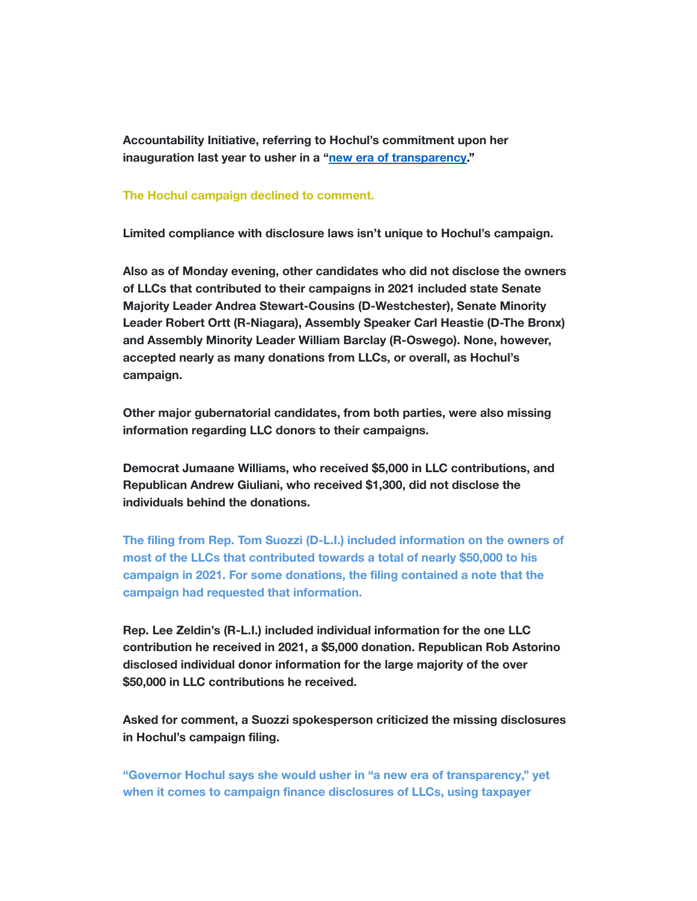**Accountability Initiative, referring to Hochul's commitment upon her inauguration last year to usher in a "[new era of transparency](https://www.nysfocus.com/2021/09/08/hochul-transparency-foil-reform/)."**

#### **The Hochul campaign declined to comment.**

**Limited compliance with disclosure laws isn't unique to Hochul's campaign.**

**Also as of Monday evening, other candidates who did not disclose the owners of LLCs that contributed to their campaigns in 2021 included state Senate Majority Leader Andrea Stewart-Cousins (D-Westchester), Senate Minority Leader Robert Ortt (R-Niagara), Assembly Speaker Carl Heastie (D-The Bronx) and Assembly Minority Leader William Barclay (R-Oswego). None, however, accepted nearly as many donations from LLCs, or overall, as Hochul's campaign.**

**Other major gubernatorial candidates, from both parties, were also missing information regarding LLC donors to their campaigns.**

**Democrat Jumaane Williams, who received \$5,000 in LLC contributions, and Republican Andrew Giuliani, who received \$1,300, did not disclose the individuals behind the donations.**

**The filing from Rep. Tom Suozzi (D-L.I.) included information on the owners of most of the LLCs that contributed towards a total of nearly \$50,000 to his campaign in 2021. For some donations, the filing contained a note that the campaign had requested that information.**

**Rep. Lee Zeldin's (R-L.I.) included individual information for the one LLC contribution he received in 2021, a \$5,000 donation. Republican Rob Astorino disclosed individual donor information for the large majority of the over \$50,000 in LLC contributions he received.**

**Asked for comment, a Suozzi spokesperson criticized the missing disclosures in Hochul's campaign filing.**

**"Governor Hochul says she would usher in "a new era of transparency," yet when it comes to campaign finance disclosures of LLCs, using taxpayer**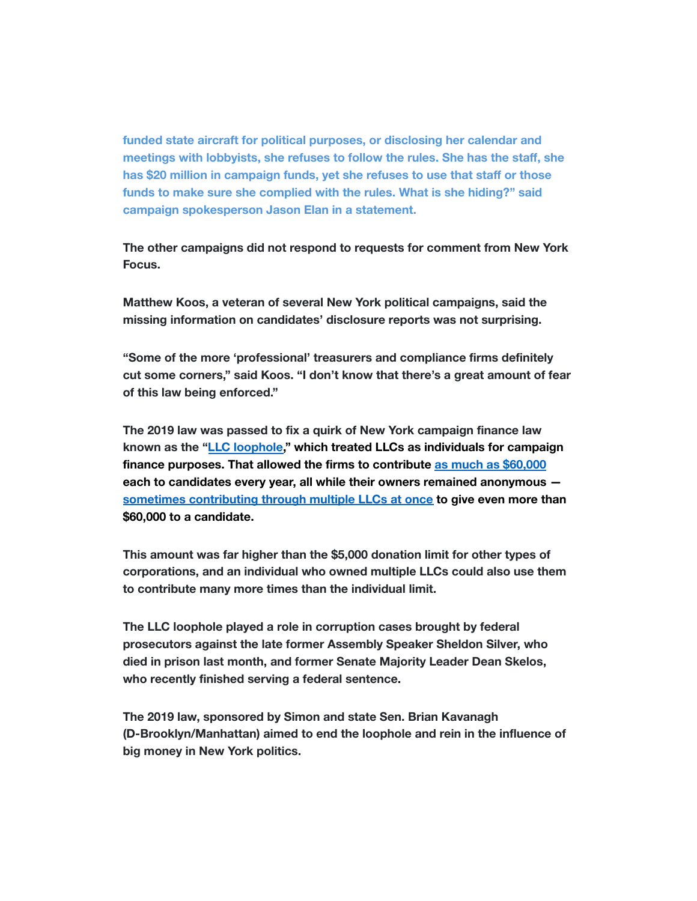**funded state aircraft for political purposes, or disclosing her calendar and meetings with lobbyists, she refuses to follow the rules. She has the staff, she has \$20 million in campaign funds, yet she refuses to use that staff or those funds to make sure she complied with the rules. What is she hiding?" said campaign spokesperson Jason Elan in a statement.**

**The other campaigns did not respond to requests for comment from New York Focus.**

**Matthew Koos, a veteran of several New York political campaigns, said the missing information on candidates' disclosure reports was not surprising.**

**"Some of the more 'professional' treasurers and compliance firms definitely cut some corners," said Koos. "I don't know that there's a great amount of fear of this law being enforced."**

**The 2019 law was passed to fix a quirk of New York campaign finance law known as the "[LLC loophole,](https://citylimits.org/2018/09/07/coming-to-grips-with-the-two-decade-deluge-of-llc-money-into-new-yorks-democracy/)" which treated LLCs as individuals for campaign finance purposes. That allowed the firms to contribute [as much as \\$60,000](https://www.nytimes.com/2015/07/21/opinion/new-yorks-big-money-loophole.html) each to candidates every year, all while their owners remained anonymous [sometimes contributing through multiple LLCs at once](https://www.timesunion.com/tuplus-local/article/Cuomo-adds-5M-amid-reform-talk-6770171.php) to give even more than \$60,000 to a candidate.**

**This amount was far higher than the \$5,000 donation limit for other types of corporations, and an individual who owned multiple LLCs could also use them to contribute many more times than the individual limit.**

**The LLC loophole played a role in corruption cases brought by federal prosecutors against the late former Assembly Speaker Sheldon Silver, who died in prison last month, and former Senate Majority Leader Dean Skelos, who recently finished serving a federal sentence.**

**The 2019 law, sponsored by Simon and state Sen. Brian Kavanagh (D-Brooklyn/Manhattan) aimed to end the loophole and rein in the influence of big money in New York politics.**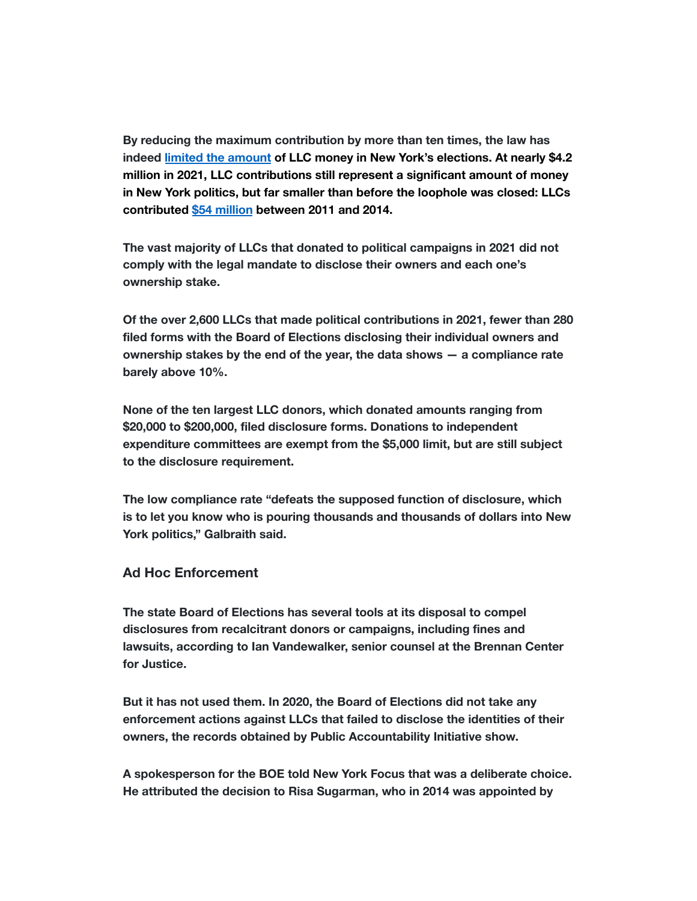**By reducing the maximum contribution by more than ten times, the law has indeed [limited the amount](https://www.thecity.nyc/2021/10/20/22737593/big-money-race-for-new-york-governor) of LLC money in New York's elections. At nearly \$4.2 million in 2021, LLC contributions still represent a significant amount of money in New York politics, but far smaller than before the loophole was closed: LLCs contributed [\\$54 million](https://www.nytimes.com/2015/07/21/opinion/new-yorks-big-money-loophole.html) between 2011 and 2014.**

**The vast majority of LLCs that donated to political campaigns in 2021 did not comply with the legal mandate to disclose their owners and each one's ownership stake.**

**Of the over 2,600 LLCs that made political contributions in 2021, fewer than 280 filed forms with the Board of Elections disclosing their individual owners and ownership stakes by the end of the year, the data shows — a compliance rate barely above 10%.**

**None of the ten largest LLC donors, which donated amounts ranging from \$20,000 to \$200,000, filed disclosure forms. Donations to independent expenditure committees are exempt from the \$5,000 limit, but are still subject to the disclosure requirement.**

**The low compliance rate "defeats the supposed function of disclosure, which is to let you know who is pouring thousands and thousands of dollars into New York politics," Galbraith said.**

#### **Ad Hoc Enforcement**

**The state Board of Elections has several tools at its disposal to compel disclosures from recalcitrant donors or campaigns, including fines and lawsuits, according to Ian Vandewalker, senior counsel at the Brennan Center for Justice.**

**But it has not used them. In 2020, the Board of Elections did not take any enforcement actions against LLCs that failed to disclose the identities of their owners, the records obtained by Public Accountability Initiative show.**

**A spokesperson for the BOE told New York Focus that was a deliberate choice. He attributed the decision to Risa Sugarman, who in 2014 was appointed by**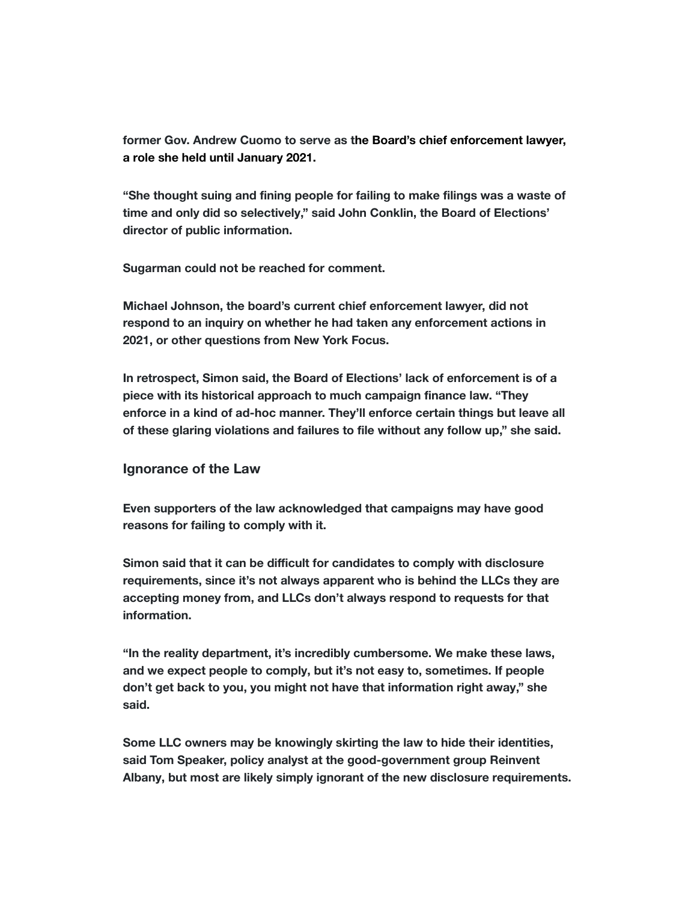**former Gov. Andrew Cuomo to serve as the Board's chief enforcement lawyer, a role she held until January 2021.**

**"She thought suing and fining people for failing to make filings was a waste of time and only did so selectively," said John Conklin, the Board of Elections' director of public information.**

**Sugarman could not be reached for comment.**

**Michael Johnson, the board's current chief enforcement lawyer, did not respond to an inquiry on whether he had taken any enforcement actions in 2021, or other questions from New York Focus.**

**In retrospect, Simon said, the Board of Elections' lack of enforcement is of a piece with its historical approach to much campaign finance law. "They enforce in a kind of ad-hoc manner. They'll enforce certain things but leave all of these glaring violations and failures to file without any follow up," she said.**

#### **Ignorance of the Law**

**Even supporters of the law acknowledged that campaigns may have good reasons for failing to comply with it.**

**Simon said that it can be difficult for candidates to comply with disclosure requirements, since it's not always apparent who is behind the LLCs they are accepting money from, and LLCs don't always respond to requests for that information.**

**"In the reality department, it's incredibly cumbersome. We make these laws, and we expect people to comply, but it's not easy to, sometimes. If people don't get back to you, you might not have that information right away," she said.**

**Some LLC owners may be knowingly skirting the law to hide their identities, said Tom Speaker, policy analyst at the good-government group Reinvent Albany, but most are likely simply ignorant of the new disclosure requirements.**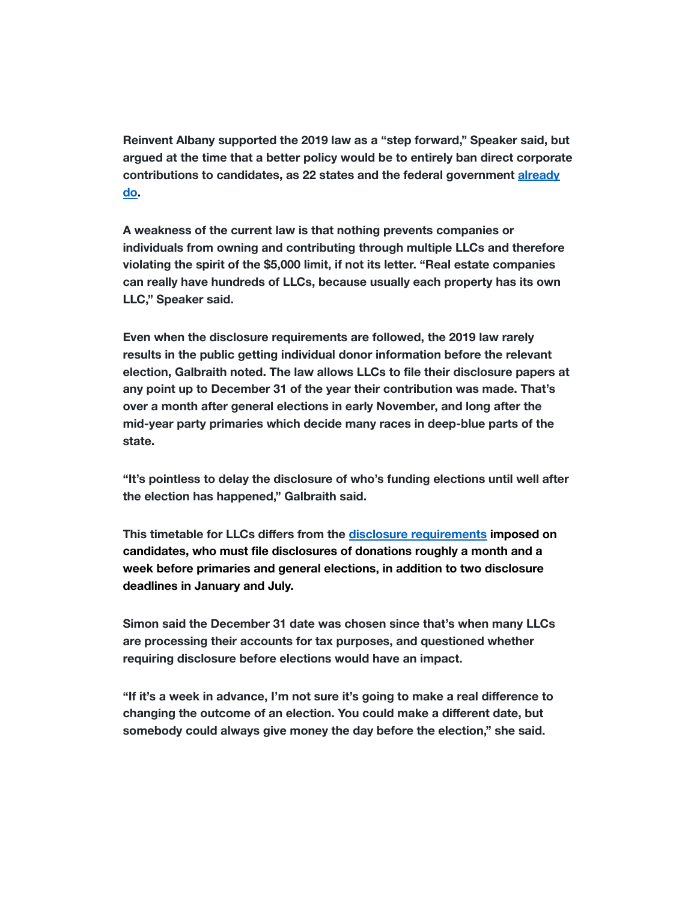**Reinvent Albany supported the 2019 law as a "step forward," Speaker said, but argued at the time that a better policy would be to entirely ban direct corporate contributions to candidates, as 22 states and the federal government [already](https://www.ncsl.org/Portals/1/Documents/Elections/Contribution_Limits_to_Candidates_2020_2021.pdf) [do.](https://www.cnn.com/2019/05/20/politics/supreme-court-corporate-political-donations/index.html)**

**A weakness of the current law is that nothing prevents companies or individuals from owning and contributing through multiple LLCs and therefore violating the spirit of the \$5,000 limit, if not its letter. "Real estate companies can really have hundreds of LLCs, because usually each property has its own LLC," Speaker said.**

**Even when the disclosure requirements are followed, the 2019 law rarely results in the public getting individual donor information before the relevant election, Galbraith noted. The law allows LLCs to file their disclosure papers at any point up to December 31 of the year their contribution was made. That's over a month after general elections in early November, and long after the mid-year party primaries which decide many races in deep-blue parts of the state.**

**"It's pointless to delay the disclosure of who's funding elections until well after the election has happened," Galbraith said.**

**This timetable for LLCs differs from the disclosure [requirements](https://www.elections.ny.gov/NYSBOE/download/finance/FilingSched2021rev.pdf) imposed on candidates, who must file disclosures of donations roughly a month and a week before primaries and general elections, in addition to two disclosure deadlines in January and July.**

**Simon said the December 31 date was chosen since that's when many LLCs are processing their accounts for tax purposes, and questioned whether requiring disclosure before elections would have an impact.**

**"If it's a week in advance, I'm not sure it's going to make a real difference to changing the outcome of an election. You could make a different date, but somebody could always give money the day before the election," she said.**